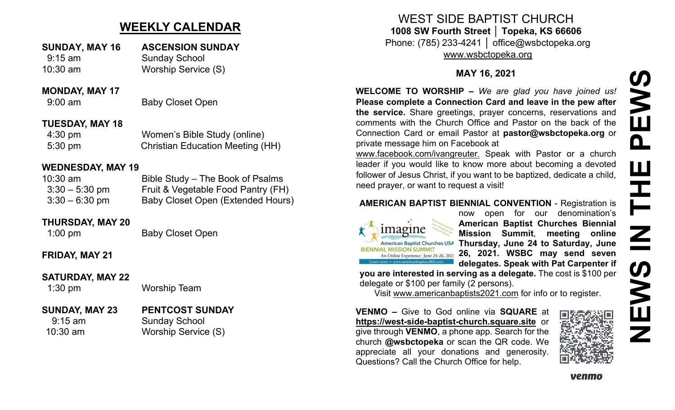# **WEEKLY CALENDAR**

## **SUNDAY, MAY 16 ASCENSION SUNDAY** 9:15 am Sunday School

10:30 am Worship Service (S)

#### **MONDAY, MAY 17**

9:00 am Baby Closet Open

### **TUESDAY, MAY 18**

4:30 pm Women's Bible Study (online) 5:30 pm Christian Education Meeting (HH)

### **WEDNESDAY, MAY 19**

| $10:30$ am       | Bible Study – The Book of Psalms         |
|------------------|------------------------------------------|
| $3:30 - 5:30$ pm | Fruit & Vegetable Food Pantry (FH)       |
| $3:30 - 6:30$ pm | <b>Baby Closet Open (Extended Hours)</b> |

#### **THURSDAY, MAY 20**

1:00 pm Baby Closet Open

## **FRIDAY, MAY 21**

#### **SATURDAY, MAY 22**

1:30 pm Worship Team

#### **SUNDAY, MAY 23 PENTCOST SUNDAY** 9:15 am Sunday School 10:30 am Worship Service (S)

WEST SIDE BAPTIST CHURCH **1008 SW Fourth Street │ Topeka, KS 66606** Phone: (785) 233-4241 │ office@wsbctopeka.org

[www.wsbctopeka.org](http://www.wsbctopeka.org/)

### **MAY 16, 2021**

**WELCOME TO WORSHIP –** *We are glad you have joined us!* **Please complete a Connection Card and leave in the pew after the service.** Share greetings, prayer concerns, reservations and comments with the Church Office and Pastor on the back of the Connection Card or email Pastor at **pastor@wsbctopeka.org** or private message him on Facebook at

[www.facebook.com/ivangreuter.](http://www.facebook.com/ivangreuter.) Speak with Pastor or a church leader if you would like to know more about becoming a devoted follower of Jesus Christ, if you want to be baptized, dedicate a child, need prayer, or want to request a visit!

### **AMERICAN BAPTIST BIENNIAL CONVENTION** - Registration is



now open for our denomination's **American Baptist Churches Biennial Mission Summit**, **meeting online Thursday, June 24 to Saturday, June 26, 2021. WSBC may send seven delegates. Speak with Pat Carpenter if** 

**you are interested in serving as a delegate.** The cost is \$100 per delegate or \$100 per family (2 persons).

Visit [www.americanbaptists2021.com](http://www.americanbaptists2021.com/) for info or to register.

**VENMO –** Give to God online via **SQUARE** at **https://west-side-baptist-[church.square.site](https://west-side-baptist-church.square.site/)** or give through **VENMO**, a phone app. Search for the church **@wsbctopeka** or scan the QR code. We appreciate all your donations and generosity. Questions? Call the Church Office for help.



**NEWS IN THE PEWS**EW<sub>S</sub>  $\mathbf{\Omega}$ W HH<br>N<br>N **SWEN**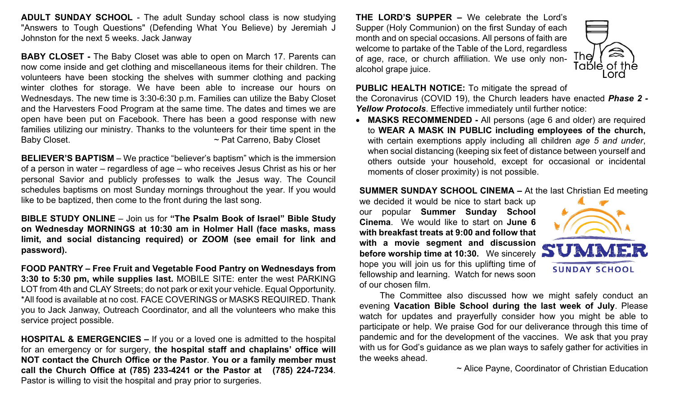**ADULT SUNDAY SCHOOL** - The adult Sunday school class is now studying "Answers to Tough Questions" (Defending What You Believe) by Jeremiah J Johnston for the next 5 weeks. Jack Janway

**BABY CLOSET -** The Baby Closet was able to open on March 17. Parents can now come inside and get clothing and miscellaneous items for their children. The volunteers have been stocking the shelves with summer clothing and packing winter clothes for storage. We have been able to increase our hours on Wednesdays. The new time is 3:30-6:30 p.m. Families can utilize the Baby Closet and the Harvesters Food Program at the same time. The dates and times we are open have been put on Facebook. There has been a good response with new families utilizing our ministry. Thanks to the volunteers for their time spent in the Baby Closet. **Example 20 All 20 All 20 All 20 All 20 All 20 All 20 All 20 All 20 All 20 All 20 All 20 All 20 All 20 All 20 All 20 All 20 All 20 All 20 All 20 All 20 All 20 All 20 All 20 All 20 All 20 All 20 All 20 All 20 A** 

**BELIEVER'S BAPTISM** – We practice "believer's baptism" which is the immersion of a person in water – regardless of age – who receives Jesus Christ as his or her personal Savior and publicly professes to walk the Jesus way. The Council schedules baptisms on most Sunday mornings throughout the year. If you would like to be baptized, then come to the front during the last song.

**BIBLE STUDY ONLINE** – Join us for **"The Psalm Book of Israel" Bible Study on Wednesday MORNINGS at 10:30 am in Holmer Hall (face masks, mass limit, and social distancing required) or ZOOM (see email for link and password).** 

**FOOD PANTRY – Free Fruit and Vegetable Food Pantry on Wednesdays from 3:30 to 5:30 pm, while supplies last.** MOBILE SITE: enter the west PARKING LOT from 4th and CLAY Streets; do not park or exit your vehicle. Equal Opportunity. \*All food is available at no cost. FACE COVERINGS or MASKS REQUIRED. Thank you to Jack Janway, Outreach Coordinator, and all the volunteers who make this service project possible.

**HOSPITAL & EMERGENCIES –** If you or a loved one is admitted to the hospital for an emergency or for surgery, **the hospital staff and chaplains' office will NOT contact the Church Office or the Pastor**. **You or a family member must call the Church Office at (785) 233-4241 or the Pastor at (785) 224-7234**. Pastor is willing to visit the hospital and pray prior to surgeries.

**THE LORD'S SUPPER –** We celebrate the Lord's Supper (Holy Communion) on the first Sunday of each month and on special occasions. All persons of faith are welcome to partake of the Table of the Lord, regardless of age, race, or church affiliation. We use only nonalcohol grape juice.



**PUBLIC HEALTH NOTICE:** To mitigate the spread of

the Coronavirus (COVID 19), the Church leaders have enacted *Phase 2 - Yellow Protocols*. Effective immediately until further notice:

• **MASKS RECOMMENDED -** All persons (age 6 and older) are required to **WEAR A MASK IN PUBLIC including employees of the church,**  with certain exemptions apply including all children *age 5 and under*, when social distancing (keeping six feet of distance between yourself and others outside your household, except for occasional or incidental moments of closer proximity) is not possible.

#### **SUMMER SUNDAY SCHOOL CINEMA –** At the last Christian Ed meeting

we decided it would be nice to start back up our popular **Summer Sunday School Cinema**. We would like to start on **June 6 with breakfast treats at 9:00 and follow that with a movie segment and discussion before worship time at 10:30.** We sincerely hope you will join us for this uplifting time of fellowship and learning. Watch for news soon of our chosen film.



The Committee also discussed how we might safely conduct an evening **Vacation Bible School during the last week of July**. Please watch for updates and prayerfully consider how you might be able to participate or help. We praise God for our deliverance through this time of pandemic and for the development of the vaccines. We ask that you pray with us for God's guidance as we plan ways to safely gather for activities in the weeks ahead.

~ Alice Payne, Coordinator of Christian Education